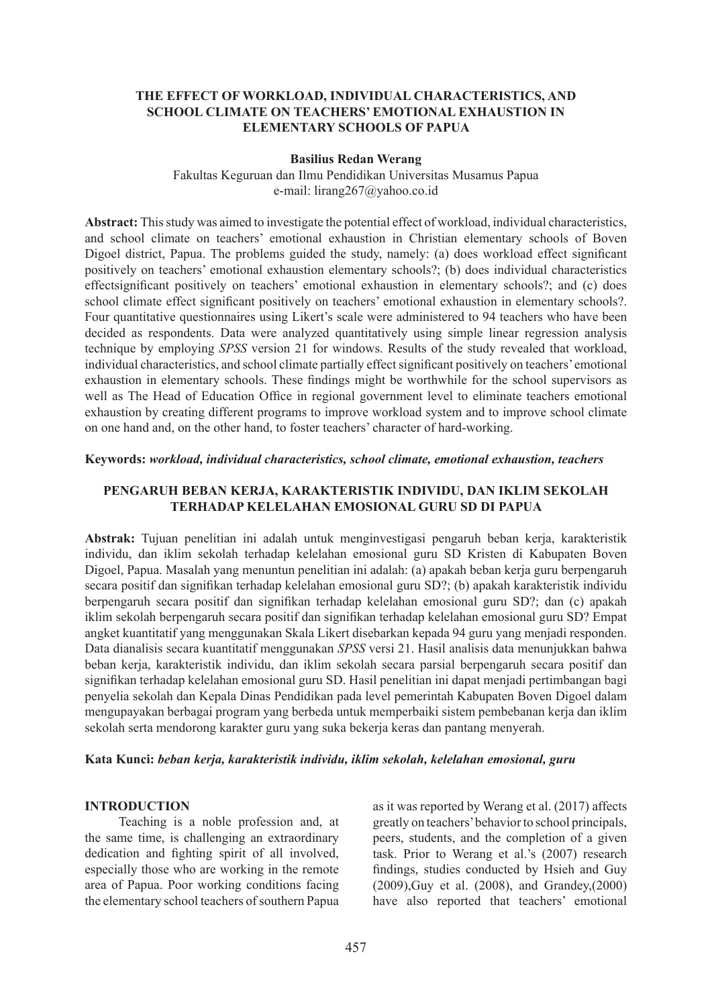### **THE EFFECT OF WORKLOAD, INDIVIDUAL CHARACTERISTICS, AND SCHOOL CLIMATE ON TEACHERS' EMOTIONAL EXHAUSTION IN ELEMENTARY SCHOOLS OF PAPUA**

### **Basilius Redan Werang**

Fakultas Keguruan dan Ilmu Pendidikan Universitas Musamus Papua e-mail: lirang267@yahoo.co.id

**Abstract:** This study was aimed to investigate the potential effect of workload, individual characteristics, and school climate on teachers' emotional exhaustion in Christian elementary schools of Boven Digoel district, Papua. The problems guided the study, namely: (a) does workload effect significant positively on teachers' emotional exhaustion elementary schools?; (b) does individual characteristics effectsignificant positively on teachers' emotional exhaustion in elementary schools?; and (c) does school climate effect significant positively on teachers' emotional exhaustion in elementary schools?. Four quantitative questionnaires using Likert's scale were administered to 94 teachers who have been decided as respondents. Data were analyzed quantitatively using simple linear regression analysis technique by employing *SPSS* version 21 for windows. Results of the study revealed that workload, individual characteristics, and school climate partially effect significant positively on teachers' emotional exhaustion in elementary schools. These findings might be worthwhile for the school supervisors as well as The Head of Education Office in regional government level to eliminate teachers emotional exhaustion by creating different programs to improve workload system and to improve school climate on one hand and, on the other hand, to foster teachers' character of hard-working.

#### **Keywords:** *workload, individual characteristics, school climate, emotional exhaustion, teachers*

### **PENGARUH BEBAN KERJA, KARAKTERISTIK INDIVIDU, DAN IKLIM SEKOLAH TERHADAP KELELAHAN EMOSIONAL GURU SD DI PAPUA**

**Abstrak:** Tujuan penelitian ini adalah untuk menginvestigasi pengaruh beban kerja, karakteristik individu, dan iklim sekolah terhadap kelelahan emosional guru SD Kristen di Kabupaten Boven Digoel, Papua. Masalah yang menuntun penelitian ini adalah: (a) apakah beban kerja guru berpengaruh secara positif dan signifikan terhadap kelelahan emosional guru SD?; (b) apakah karakteristik individu berpengaruh secara positif dan signifikan terhadap kelelahan emosional guru SD?; dan (c) apakah iklim sekolah berpengaruh secara positif dan signifikan terhadap kelelahan emosional guru SD? Empat angket kuantitatif yang menggunakan Skala Likert disebarkan kepada 94 guru yang menjadi responden. Data dianalisis secara kuantitatif menggunakan *SPSS* versi 21. Hasil analisis data menunjukkan bahwa beban kerja, karakteristik individu, dan iklim sekolah secara parsial berpengaruh secara positif dan signifikan terhadap kelelahan emosional guru SD. Hasil penelitian ini dapat menjadi pertimbangan bagi penyelia sekolah dan Kepala Dinas Pendidikan pada level pemerintah Kabupaten Boven Digoel dalam mengupayakan berbagai program yang berbeda untuk memperbaiki sistem pembebanan kerja dan iklim sekolah serta mendorong karakter guru yang suka bekerja keras dan pantang menyerah.

#### **Kata Kunci:** *beban kerja, karakteristik individu, iklim sekolah, kelelahan emosional, guru*

#### **INTRODUCTION**

Teaching is a noble profession and, at the same time, is challenging an extraordinary dedication and fighting spirit of all involved, especially those who are working in the remote area of Papua. Poor working conditions facing the elementary school teachers of southern Papua as it was reported by Werang et al. (2017) affects greatly on teachers' behavior to school principals, peers, students, and the completion of a given task. Prior to Werang et al.'s (2007) research findings, studies conducted by Hsieh and Guy (2009),Guy et al. (2008), and Grandey,(2000) have also reported that teachers' emotional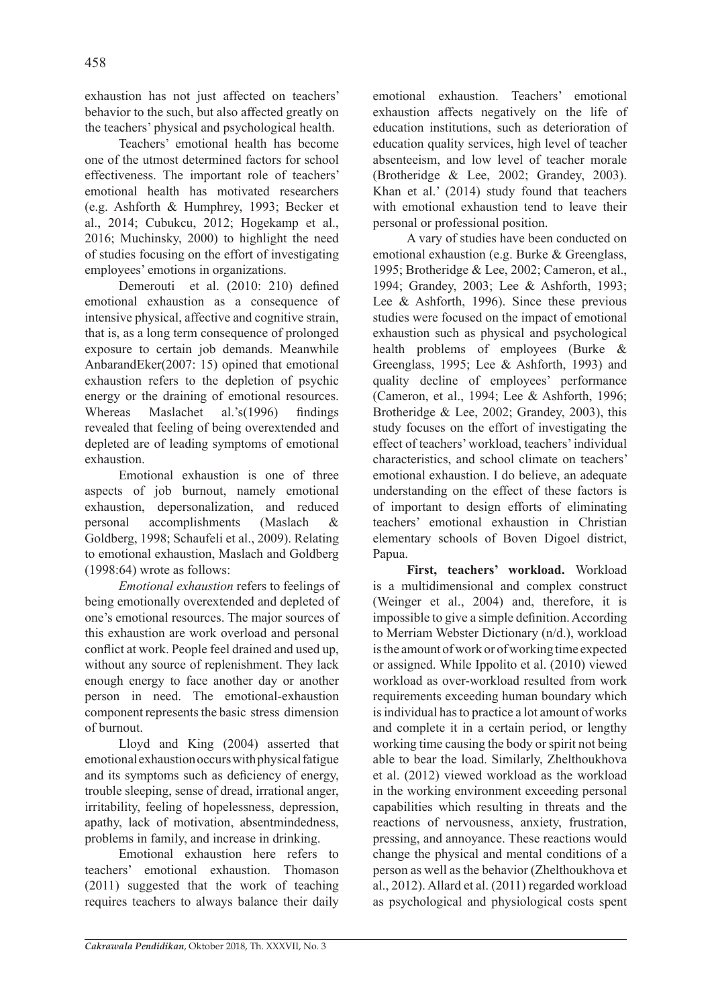exhaustion has not just affected on teachers' behavior to the such, but also affected greatly on the teachers' physical and psychological health.

Teachers' emotional health has become one of the utmost determined factors for school effectiveness. The important role of teachers' emotional health has motivated researchers (e.g. Ashforth & Humphrey, 1993; Becker et al., 2014; Cubukcu, 2012; Hogekamp et al., 2016; Muchinsky, 2000) to highlight the need of studies focusing on the effort of investigating employees' emotions in organizations.

Demerouti et al. (2010: 210) defined emotional exhaustion as a consequence of intensive physical, affective and cognitive strain, that is, as a long term consequence of prolonged exposure to certain job demands. Meanwhile AnbarandEker(2007: 15) opined that emotional exhaustion refers to the depletion of psychic energy or the draining of emotional resources. Whereas Maslachet al.'s(1996) findings revealed that feeling of being overextended and depleted are of leading symptoms of emotional exhaustion.

Emotional exhaustion is one of three aspects of job burnout, namely emotional exhaustion, depersonalization, and reduced personal accomplishments (Maslach & Goldberg, 1998; Schaufeli et al., 2009). Relating to emotional exhaustion, Maslach and Goldberg (1998:64) wrote as follows:

*Emotional exhaustion* refers to feelings of being emotionally overextended and depleted of one's emotional resources. The major sources of this exhaustion are work overload and personal conflict at work. People feel drained and used up, without any source of replenishment. They lack enough energy to face another day or another person in need. The emotional-exhaustion component represents the basic stress dimension of burnout.

Lloyd and King (2004) asserted that emotional exhaustion occurs with physical fatigue and its symptoms such as deficiency of energy, trouble sleeping, sense of dread, irrational anger, irritability, feeling of hopelessness, depression, apathy, lack of motivation, absentmindedness, problems in family, and increase in drinking.

Emotional exhaustion here refers to teachers' emotional exhaustion. Thomason (2011) suggested that the work of teaching requires teachers to always balance their daily emotional exhaustion. Teachers' emotional exhaustion affects negatively on the life of education institutions, such as deterioration of education quality services, high level of teacher absenteeism, and low level of teacher morale (Brotheridge & Lee, 2002; Grandey, 2003). Khan et al.' (2014) study found that teachers with emotional exhaustion tend to leave their personal or professional position.

A vary of studies have been conducted on emotional exhaustion (e.g. Burke & Greenglass, 1995; Brotheridge & Lee, 2002; Cameron, et al., 1994; Grandey, 2003; Lee & Ashforth, 1993; Lee & Ashforth, 1996). Since these previous studies were focused on the impact of emotional exhaustion such as physical and psychological health problems of employees (Burke & Greenglass, 1995; Lee & Ashforth, 1993) and quality decline of employees' performance (Cameron, et al., 1994; Lee & Ashforth, 1996; Brotheridge & Lee, 2002; Grandey, 2003), this study focuses on the effort of investigating the effect of teachers' workload, teachers' individual characteristics, and school climate on teachers' emotional exhaustion. I do believe, an adequate understanding on the effect of these factors is of important to design efforts of eliminating teachers' emotional exhaustion in Christian elementary schools of Boven Digoel district, Papua.

**First, teachers' workload.** Workload is a multidimensional and complex construct (Weinger et al., 2004) and, therefore, it is impossible to give a simple definition. According to Merriam Webster Dictionary (n/d.), workload is the amount of work or of working time expected or assigned. While Ippolito et al. (2010) viewed workload as over-workload resulted from work requirements exceeding human boundary which is individual has to practice a lot amount of works and complete it in a certain period, or lengthy working time causing the body or spirit not being able to bear the load. Similarly, Zhelthoukhova et al. (2012) viewed workload as the workload in the working environment exceeding personal capabilities which resulting in threats and the reactions of nervousness, anxiety, frustration, pressing, and annoyance. These reactions would change the physical and mental conditions of a person as well as the behavior (Zhelthoukhova et al., 2012). Allard et al. (2011) regarded workload as psychological and physiological costs spent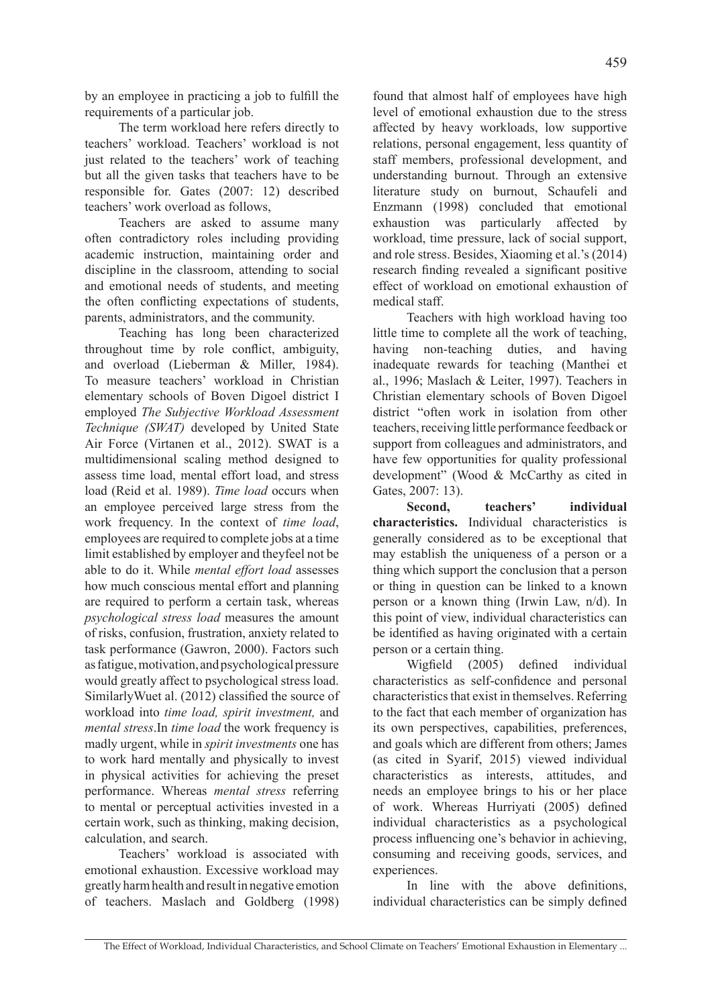by an employee in practicing a job to fulfill the requirements of a particular job.

The term workload here refers directly to teachers' workload. Teachers' workload is not just related to the teachers' work of teaching but all the given tasks that teachers have to be responsible for. Gates (2007: 12) described teachers' work overload as follows,

Teachers are asked to assume many often contradictory roles including providing academic instruction, maintaining order and discipline in the classroom, attending to social and emotional needs of students, and meeting the often conflicting expectations of students, parents, administrators, and the community.

Teaching has long been characterized throughout time by role conflict, ambiguity, and overload (Lieberman & Miller, 1984). To measure teachers' workload in Christian elementary schools of Boven Digoel district I employed *The Subjective Workload Assessment Technique (SWAT)* developed by United State Air Force (Virtanen et al., 2012). SWAT is a multidimensional scaling method designed to assess time load, mental effort load, and stress load (Reid et al. 1989). *Time load* occurs when an employee perceived large stress from the work frequency. In the context of *time load*, employees are required to complete jobs at a time limit established by employer and theyfeel not be able to do it. While *mental effort load* assesses how much conscious mental effort and planning are required to perform a certain task, whereas *psychological stress load* measures the amount of risks, confusion, frustration, anxiety related to task performance (Gawron, 2000). Factors such as fatigue, motivation, and psychological pressure would greatly affect to psychological stress load. SimilarlyWuet al. (2012) classified the source of workload into *time load, spirit investment,* and *mental stress*.In *time load* the work frequency is madly urgent, while in *spirit investments* one has to work hard mentally and physically to invest in physical activities for achieving the preset performance. Whereas *mental stress* referring to mental or perceptual activities invested in a certain work, such as thinking, making decision, calculation, and search.

Teachers' workload is associated with emotional exhaustion. Excessive workload may greatly harm health and result in negative emotion of teachers. Maslach and Goldberg (1998) found that almost half of employees have high level of emotional exhaustion due to the stress affected by heavy workloads, low supportive relations, personal engagement, less quantity of staff members, professional development, and understanding burnout. Through an extensive literature study on burnout, Schaufeli and Enzmann (1998) concluded that emotional exhaustion was particularly affected by workload, time pressure, lack of social support, and role stress. Besides, Xiaoming et al.'s (2014) research finding revealed a significant positive effect of workload on emotional exhaustion of medical staff.

Teachers with high workload having too little time to complete all the work of teaching, having non-teaching duties, and having inadequate rewards for teaching (Manthei et al., 1996; Maslach & Leiter, 1997). Teachers in Christian elementary schools of Boven Digoel district "often work in isolation from other teachers, receiving little performance feedback or support from colleagues and administrators, and have few opportunities for quality professional development" (Wood & McCarthy as cited in Gates, 2007: 13).

**Second, teachers' individual characteristics.** Individual characteristics is generally considered as to be exceptional that may establish the uniqueness of a person or a thing which support the conclusion that a person or thing in question can be linked to a known person or a known thing (Irwin Law, n/d). In this point of view, individual characteristics can be identified as having originated with a certain person or a certain thing.

Wigfield (2005) defined individual characteristics as self-confidence and personal characteristics that exist in themselves. Referring to the fact that each member of organization has its own perspectives, capabilities, preferences, and goals which are different from others; James (as cited in Syarif, 2015) viewed individual characteristics as interests, attitudes, and needs an employee brings to his or her place of work. Whereas Hurriyati (2005) defined individual characteristics as a psychological process influencing one's behavior in achieving, consuming and receiving goods, services, and experiences.

In line with the above definitions, individual characteristics can be simply defined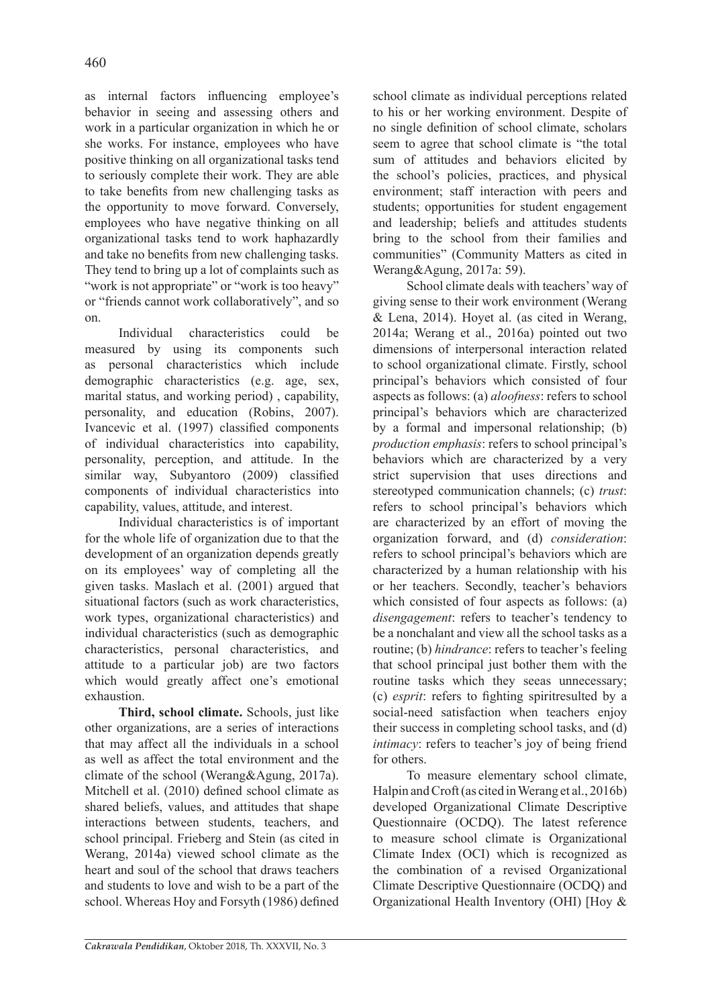as internal factors influencing employee's behavior in seeing and assessing others and work in a particular organization in which he or she works. For instance, employees who have positive thinking on all organizational tasks tend to seriously complete their work. They are able to take benefits from new challenging tasks as the opportunity to move forward. Conversely, employees who have negative thinking on all organizational tasks tend to work haphazardly and take no benefits from new challenging tasks. They tend to bring up a lot of complaints such as "work is not appropriate" or "work is too heavy" or "friends cannot work collaboratively", and so on.

Individual characteristics could be measured by using its components such as personal characteristics which include demographic characteristics (e.g. age, sex, marital status, and working period) , capability, personality, and education (Robins, 2007). Ivancevic et al. (1997) classified components of individual characteristics into capability, personality, perception, and attitude. In the similar way, Subyantoro (2009) classified components of individual characteristics into capability, values, attitude, and interest.

Individual characteristics is of important for the whole life of organization due to that the development of an organization depends greatly on its employees' way of completing all the given tasks. Maslach et al. (2001) argued that situational factors (such as work characteristics, work types, organizational characteristics) and individual characteristics (such as demographic characteristics, personal characteristics, and attitude to a particular job) are two factors which would greatly affect one's emotional exhaustion.

**Third, school climate.** Schools, just like other organizations, are a series of interactions that may affect all the individuals in a school as well as affect the total environment and the climate of the school (Werang&Agung, 2017a). Mitchell et al. (2010) defined school climate as shared beliefs, values, and attitudes that shape interactions between students, teachers, and school principal. Frieberg and Stein (as cited in Werang, 2014a) viewed school climate as the heart and soul of the school that draws teachers and students to love and wish to be a part of the school. Whereas Hoy and Forsyth (1986) defined school climate as individual perceptions related to his or her working environment. Despite of no single definition of school climate, scholars seem to agree that school climate is "the total sum of attitudes and behaviors elicited by the school's policies, practices, and physical environment; staff interaction with peers and students; opportunities for student engagement and leadership; beliefs and attitudes students bring to the school from their families and communities" (Community Matters as cited in Werang&Agung, 2017a: 59).

School climate deals with teachers' way of giving sense to their work environment (Werang & Lena, 2014). Hoyet al. (as cited in Werang, 2014a; Werang et al., 2016a) pointed out two dimensions of interpersonal interaction related to school organizational climate. Firstly, school principal's behaviors which consisted of four aspects as follows: (a) *aloofness*: refers to school principal's behaviors which are characterized by a formal and impersonal relationship; (b) *production emphasis*: refers to school principal's behaviors which are characterized by a very strict supervision that uses directions and stereotyped communication channels; (c) *trust*: refers to school principal's behaviors which are characterized by an effort of moving the organization forward, and (d) *consideration*: refers to school principal's behaviors which are characterized by a human relationship with his or her teachers. Secondly, teacher's behaviors which consisted of four aspects as follows: (a) *disengagement*: refers to teacher's tendency to be a nonchalant and view all the school tasks as a routine; (b) *hindrance*: refers to teacher's feeling that school principal just bother them with the routine tasks which they seeas unnecessary; (c) *esprit*: refers to fighting spiritresulted by a social-need satisfaction when teachers enjoy their success in completing school tasks, and (d) *intimacy*: refers to teacher's joy of being friend for others.

To measure elementary school climate, Halpin and Croft (as cited in Werang et al., 2016b) developed Organizational Climate Descriptive Questionnaire (OCDQ). The latest reference to measure school climate is Organizational Climate Index (OCI) which is recognized as the combination of a revised Organizational Climate Descriptive Questionnaire (OCDQ) and Organizational Health Inventory (OHI) [Hoy &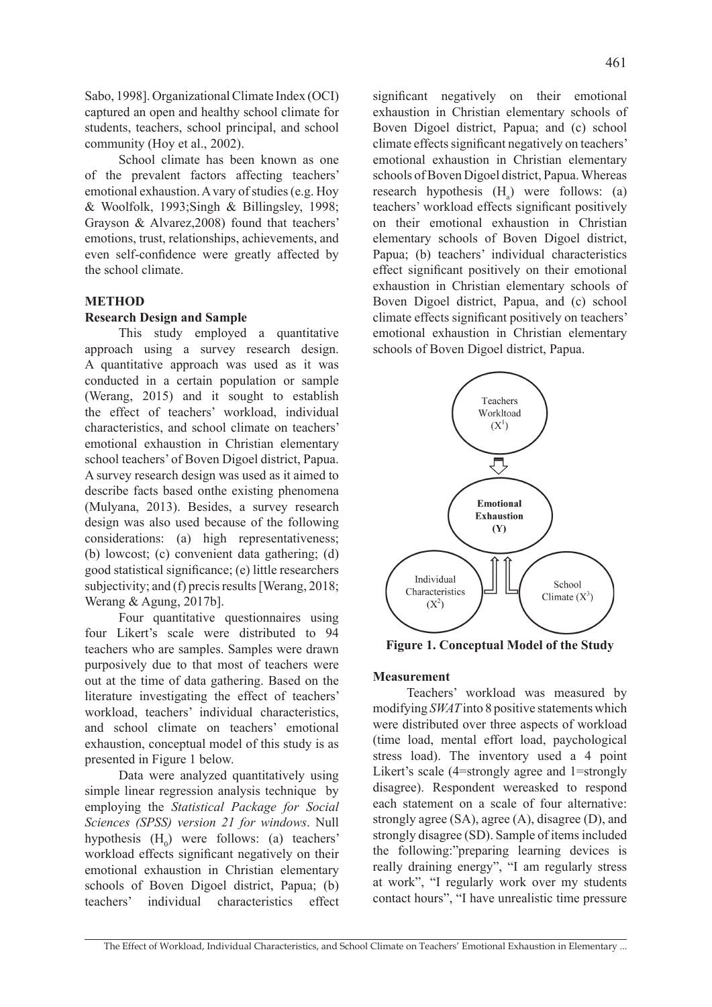Sabo, 1998]. Organizational Climate Index (OCI) captured an open and healthy school climate for students, teachers, school principal, and school community (Hoy et al., 2002).

School climate has been known as one of the prevalent factors affecting teachers' emotional exhaustion. A vary of studies (e.g. Hoy & Woolfolk, 1993;Singh & Billingsley, 1998; Grayson & Alvarez,2008) found that teachers' emotions, trust, relationships, achievements, and even self-confidence were greatly affected by the school climate.

### **METHOD**

### **Research Design and Sample**

This study employed a quantitative approach using a survey research design. A quantitative approach was used as it was conducted in a certain population or sample (Werang, 2015) and it sought to establish the effect of teachers' workload, individual characteristics, and school climate on teachers' emotional exhaustion in Christian elementary school teachers' of Boven Digoel district, Papua. A survey research design was used as it aimed to describe facts based onthe existing phenomena (Mulyana, 2013). Besides, a survey research design was also used because of the following considerations: (a) high representativeness; (b) lowcost; (c) convenient data gathering; (d) good statistical significance; (e) little researchers subjectivity; and (f) precis results [Werang, 2018; Werang & Agung, 2017b].

Four quantitative questionnaires using four Likert's scale were distributed to 94 teachers who are samples. Samples were drawn purposively due to that most of teachers were out at the time of data gathering. Based on the literature investigating the effect of teachers' workload, teachers' individual characteristics, and school climate on teachers' emotional exhaustion, conceptual model of this study is as presented in Figure 1 below.

Data were analyzed quantitatively using simple linear regression analysis technique by employing the *Statistical Package for Social Sciences (SPSS) version 21 for windows*. Null hypothesis  $(H_0)$  were follows: (a) teachers' workload effects significant negatively on their emotional exhaustion in Christian elementary schools of Boven Digoel district, Papua; (b) teachers' individual characteristics effect

significant negatively on their emotional exhaustion in Christian elementary schools of Boven Digoel district, Papua; and (c) school climate effects significant negatively on teachers' emotional exhaustion in Christian elementary schools of Boven Digoel district, Papua. Whereas research hypothesis  $(H_a)$  were follows: (a) teachers' workload effects significant positively on their emotional exhaustion in Christian elementary schools of Boven Digoel district, Papua; (b) teachers' individual characteristics effect significant positively on their emotional exhaustion in Christian elementary schools of Boven Digoel district, Papua, and (c) school climate effects significant positively on teachers' emotional exhaustion in Christian elementary schools of Boven Digoel district, Papua.



**Figure 1. Conceptual Model of the Study**

### **Measurement**

Teachers' workload was measured by modifying *SWAT* into 8 positive statements which were distributed over three aspects of workload (time load, mental effort load, paychological stress load). The inventory used a 4 point Likert's scale (4=strongly agree and 1=strongly disagree). Respondent wereasked to respond each statement on a scale of four alternative: strongly agree (SA), agree (A), disagree (D), and strongly disagree (SD). Sample of items included the following:"preparing learning devices is really draining energy", "I am regularly stress at work", "I regularly work over my students contact hours", "I have unrealistic time pressure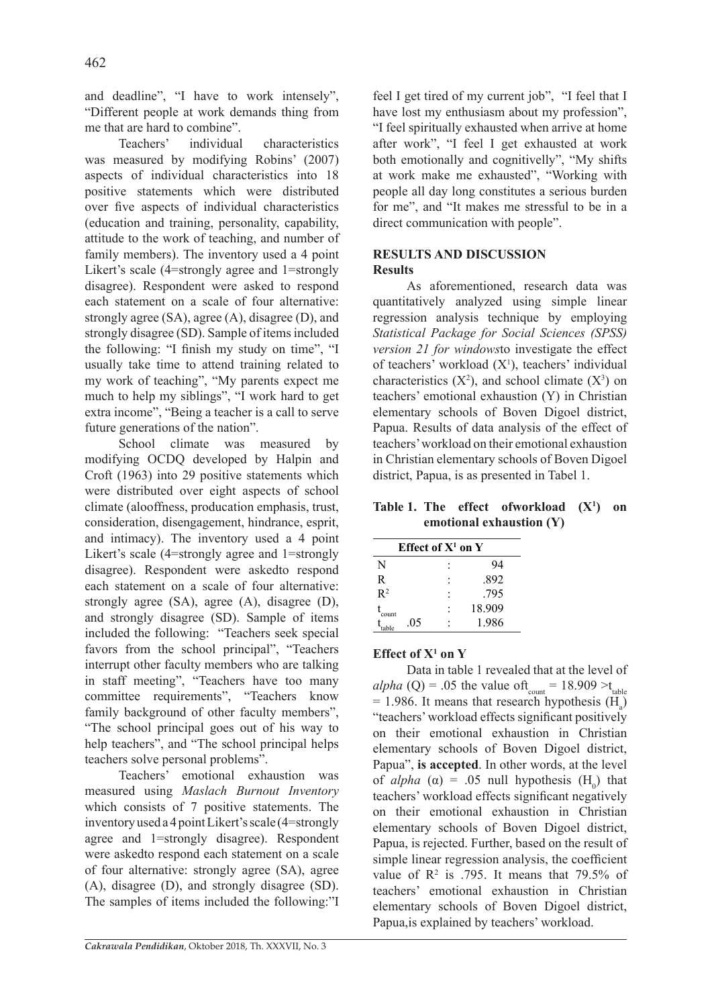and deadline", "I have to work intensely", "Different people at work demands thing from me that are hard to combine".

Teachers' individual characteristics was measured by modifying Robins' (2007) aspects of individual characteristics into 18 positive statements which were distributed over five aspects of individual characteristics (education and training, personality, capability, attitude to the work of teaching, and number of family members). The inventory used a 4 point Likert's scale (4=strongly agree and 1=strongly disagree). Respondent were asked to respond each statement on a scale of four alternative: strongly agree (SA), agree (A), disagree (D), and strongly disagree (SD). Sample of items included the following: "I finish my study on time", "I usually take time to attend training related to my work of teaching", "My parents expect me much to help my siblings", "I work hard to get extra income", "Being a teacher is a call to serve future generations of the nation".

School climate was measured by modifying OCDQ developed by Halpin and Croft (1963) into 29 positive statements which were distributed over eight aspects of school climate (alooffness, producation emphasis, trust, consideration, disengagement, hindrance, esprit, and intimacy). The inventory used a 4 point Likert's scale (4=strongly agree and 1=strongly disagree). Respondent were askedto respond each statement on a scale of four alternative: strongly agree (SA), agree (A), disagree (D), and strongly disagree (SD). Sample of items included the following: "Teachers seek special favors from the school principal", "Teachers interrupt other faculty members who are talking in staff meeting", "Teachers have too many committee requirements", "Teachers know family background of other faculty members", "The school principal goes out of his way to help teachers", and "The school principal helps teachers solve personal problems".

Teachers' emotional exhaustion was measured using *Maslach Burnout Inventory*  which consists of 7 positive statements. The inventory used a 4 point Likert's scale (4=strongly agree and 1=strongly disagree). Respondent were askedto respond each statement on a scale of four alternative: strongly agree (SA), agree (A), disagree (D), and strongly disagree (SD). The samples of items included the following:"I feel I get tired of my current job", "I feel that I have lost my enthusiasm about my profession", "I feel spiritually exhausted when arrive at home after work", "I feel I get exhausted at work both emotionally and cognitivelly", "My shifts at work make me exhausted", "Working with people all day long constitutes a serious burden for me", and "It makes me stressful to be in a direct communication with people".

# **RESULTS AND DISCUSSION Results**

As aforementioned, research data was quantitatively analyzed using simple linear regression analysis technique by employing *Statistical Package for Social Sciences (SPSS) version 21 for windows*to investigate the effect of teachers' workload  $(X<sup>1</sup>)$ , teachers' individual characteristics  $(X^2)$ , and school climate  $(X^3)$  on teachers' emotional exhaustion (Y) in Christian elementary schools of Boven Digoel district, Papua. Results of data analysis of the effect of teachers' workload on their emotional exhaustion in Christian elementary schools of Boven Digoel district, Papua, is as presented in Tabel 1.

**Table 1. The effect ofworkload (X1 ) on emotional exhaustion (Y)**

| Effect of $X^1$ on $Y$ |  |        |  |  |
|------------------------|--|--------|--|--|
| N                      |  | 94     |  |  |
| R                      |  | .892   |  |  |
| $R^2$                  |  | -795   |  |  |
| count                  |  | 18.909 |  |  |
| .05                    |  | 1.986  |  |  |

# **Effect of X1 on Y**

Data in table 1 revealed that at the level of *alpha* (Q) = .05 the value of  $t_{\text{count}} = 18.909 > t_{\text{table}}$  $= 1.986$ . It means that research hypothesis (H<sub>a</sub>) "teachers' workload effects significant positively on their emotional exhaustion in Christian elementary schools of Boven Digoel district, Papua", **is accepted**. In other words, at the level of *alpha* ( $\alpha$ ) = .05 null hypothesis (H<sub>0</sub>) that teachers' workload effects significant negatively on their emotional exhaustion in Christian elementary schools of Boven Digoel district, Papua, is rejected. Further, based on the result of simple linear regression analysis, the coefficient value of  $\mathbb{R}^2$  is .795. It means that 79.5% of teachers' emotional exhaustion in Christian elementary schools of Boven Digoel district, Papua,is explained by teachers' workload.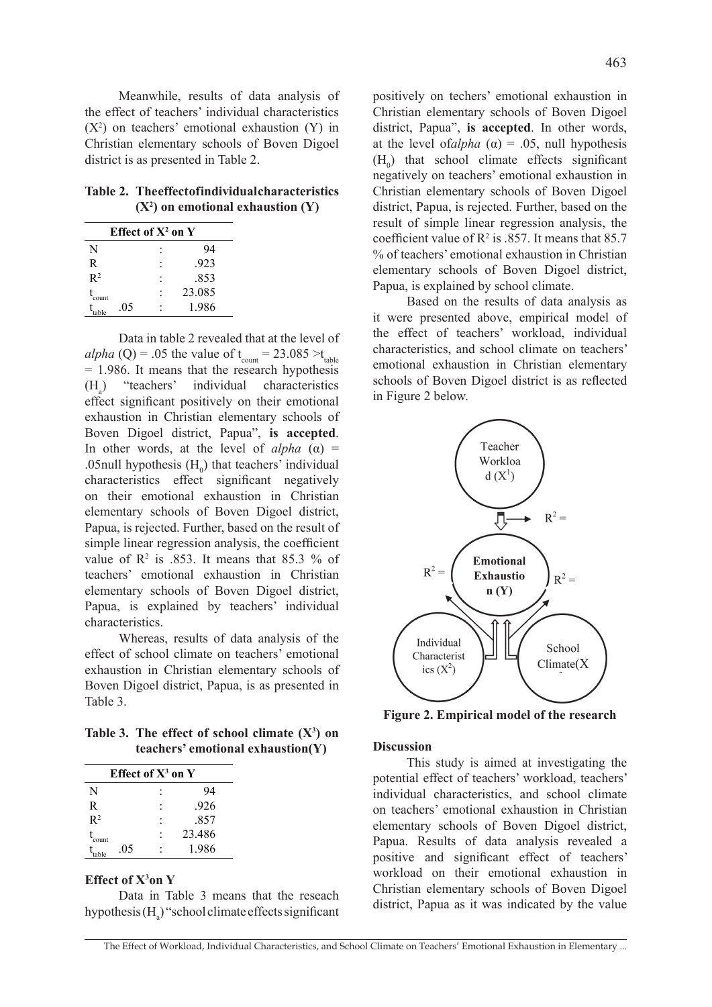Meanwhile, results of data analysis of the effect of teachers' individual characteristics  $(X<sup>2</sup>)$  on teachers' emotional exhaustion  $(Y)$  in Christian elementary schools of Boven Digoel district is as presented in Table 2.

**Table 2. The effect of individual characteristics (X2 ) on emotional exhaustion (Y)**

| Effect of $X^2$ on $Y$ |  |        |  |  |
|------------------------|--|--------|--|--|
| N                      |  | 94     |  |  |
| R                      |  | .923   |  |  |
| R <sup>2</sup>         |  | .853   |  |  |
| count                  |  | 23.085 |  |  |
| .05                    |  | 1.986  |  |  |

Data in table 2 revealed that at the level of *alpha* (Q) = .05 the value of  $t_{\text{count}} = 23.085 > t_{\text{table}}$ = 1.986. It means that the research hypothesis  $(H<sub>1</sub>)$ ) "teachers' individual characteristics effect significant positively on their emotional exhaustion in Christian elementary schools of Boven Digoel district, Papua", **is accepted**. In other words, at the level of  $alpha$  ( $\alpha$ ) = .05null hypothesis  $(H_0)$  that teachers' individual characteristics effect significant negatively on their emotional exhaustion in Christian elementary schools of Boven Digoel district, Papua, is rejected. Further, based on the result of simple linear regression analysis, the coefficient value of  $\mathbb{R}^2$  is .853. It means that 85.3 % of teachers' emotional exhaustion in Christian elementary schools of Boven Digoel district, Papua, is explained by teachers' individual characteristics.

Whereas, results of data analysis of the effect of school climate on teachers' emotional exhaustion in Christian elementary schools of Boven Digoel district, Papua, is as presented in Table 3.

Table 3. The effect of school climate  $(X^3)$  on **teachers' emotional exhaustion(Y)**

| Effect of $X^3$ on $Y$ |  |        |  |  |
|------------------------|--|--------|--|--|
| N                      |  | 94     |  |  |
| R                      |  | .926   |  |  |
| $R^2$                  |  | .857   |  |  |
| count                  |  | 23.486 |  |  |
| .05                    |  | 1.986  |  |  |

#### **Effect of X3 on Y**

Data in Table 3 means that the reseach hypothesis  $(H_a)$ " school climate effects significant positively on techers' emotional exhaustion in Christian elementary schools of Boven Digoel district, Papua", **is accepted**. In other words, at the level of*alpha* ( $\alpha$ ) = .05, null hypothesis  $(H_0)$  that school climate effects significant negatively on teachers' emotional exhaustion in Christian elementary schools of Boven Digoel district, Papua, is rejected. Further, based on the result of simple linear regression analysis, the coefficient value of  $\mathbb{R}^2$  is .857. It means that 85.7 % of teachers' emotional exhaustion in Christian elementary schools of Boven Digoel district,

Based on the results of data analysis as it were presented above, empirical model of the effect of teachers' workload, individual characteristics, and school climate on teachers' emotional exhaustion in Christian elementary schools of Boven Digoel district is as reflected in Figure 2 below.

Papua, is explained by school climate.



**Figure 2. Empirical model of the research**

#### **Discussion**

This study is aimed at investigating the potential effect of teachers' workload, teachers' individual characteristics, and school climate on teachers' emotional exhaustion in Christian elementary schools of Boven Digoel district, Papua. Results of data analysis revealed a positive and significant effect of teachers' workload on their emotional exhaustion in Christian elementary schools of Boven Digoel district, Papua as it was indicated by the value

The Effect of Workload, Individual Characteristics, and School Climate on Teachers' Emotional Exhaustion in Elementary ...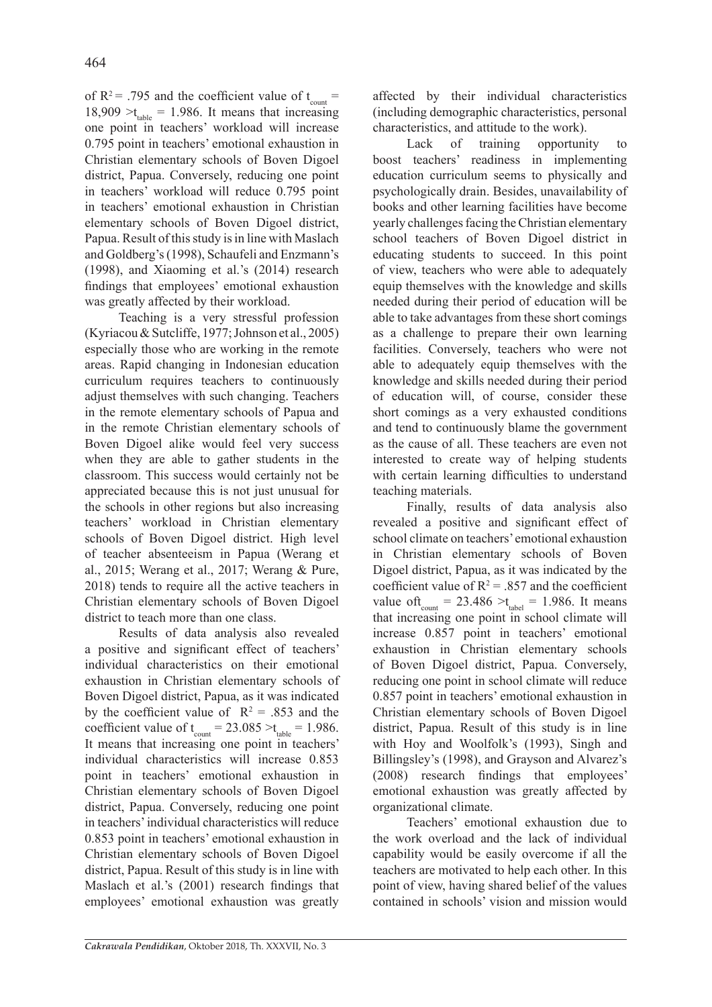of R<sup>2</sup> = .795 and the coefficient value of  $t_{\text{count}}$  =  $18,909 > t_{table} = 1.986$ . It means that increasing one point in teachers' workload will increase 0.795 point in teachers' emotional exhaustion in Christian elementary schools of Boven Digoel district, Papua. Conversely, reducing one point in teachers' workload will reduce 0.795 point in teachers' emotional exhaustion in Christian elementary schools of Boven Digoel district, Papua. Result of this study is in line with Maslach and Goldberg's (1998), Schaufeli and Enzmann's (1998), and Xiaoming et al.'s (2014) research findings that employees' emotional exhaustion was greatly affected by their workload.

Teaching is a very stressful profession (Kyriacou & Sutcliffe, 1977; Johnson et al., 2005) especially those who are working in the remote areas. Rapid changing in Indonesian education curriculum requires teachers to continuously adjust themselves with such changing. Teachers in the remote elementary schools of Papua and in the remote Christian elementary schools of Boven Digoel alike would feel very success when they are able to gather students in the classroom. This success would certainly not be appreciated because this is not just unusual for the schools in other regions but also increasing teachers' workload in Christian elementary schools of Boven Digoel district. High level of teacher absenteeism in Papua (Werang et al., 2015; Werang et al., 2017; Werang & Pure, 2018) tends to require all the active teachers in Christian elementary schools of Boven Digoel district to teach more than one class.

Results of data analysis also revealed a positive and significant effect of teachers' individual characteristics on their emotional exhaustion in Christian elementary schools of Boven Digoel district, Papua, as it was indicated by the coefficient value of  $R^2 = .853$  and the coefficient value of  $t_{\text{count}} = 23.085 > t_{\text{table}} = 1.986$ . It means that increasing one point in teachers' individual characteristics will increase 0.853 point in teachers' emotional exhaustion in Christian elementary schools of Boven Digoel district, Papua. Conversely, reducing one point in teachers' individual characteristics will reduce 0.853 point in teachers' emotional exhaustion in Christian elementary schools of Boven Digoel district, Papua. Result of this study is in line with Maslach et al.'s (2001) research findings that employees' emotional exhaustion was greatly

affected by their individual characteristics (including demographic characteristics, personal characteristics, and attitude to the work).

Lack of training opportunity to boost teachers' readiness in implementing education curriculum seems to physically and psychologically drain. Besides, unavailability of books and other learning facilities have become yearly challenges facing the Christian elementary school teachers of Boven Digoel district in educating students to succeed. In this point of view, teachers who were able to adequately equip themselves with the knowledge and skills needed during their period of education will be able to take advantages from these short comings as a challenge to prepare their own learning facilities. Conversely, teachers who were not able to adequately equip themselves with the knowledge and skills needed during their period of education will, of course, consider these short comings as a very exhausted conditions and tend to continuously blame the government as the cause of all. These teachers are even not interested to create way of helping students with certain learning difficulties to understand teaching materials.

Finally, results of data analysis also revealed a positive and significant effect of school climate on teachers' emotional exhaustion in Christian elementary schools of Boven Digoel district, Papua, as it was indicated by the coefficient value of  $R^2 = .857$  and the coefficient value of  $t_{\text{count}} = 23.486 > t_{\text{label}} = 1.986$ . It means that increasing one point in school climate will increase 0.857 point in teachers' emotional exhaustion in Christian elementary schools of Boven Digoel district, Papua. Conversely, reducing one point in school climate will reduce 0.857 point in teachers' emotional exhaustion in Christian elementary schools of Boven Digoel district, Papua. Result of this study is in line with Hoy and Woolfolk's (1993), Singh and Billingsley's (1998), and Grayson and Alvarez's (2008) research findings that employees' emotional exhaustion was greatly affected by organizational climate.

Teachers' emotional exhaustion due to the work overload and the lack of individual capability would be easily overcome if all the teachers are motivated to help each other. In this point of view, having shared belief of the values contained in schools' vision and mission would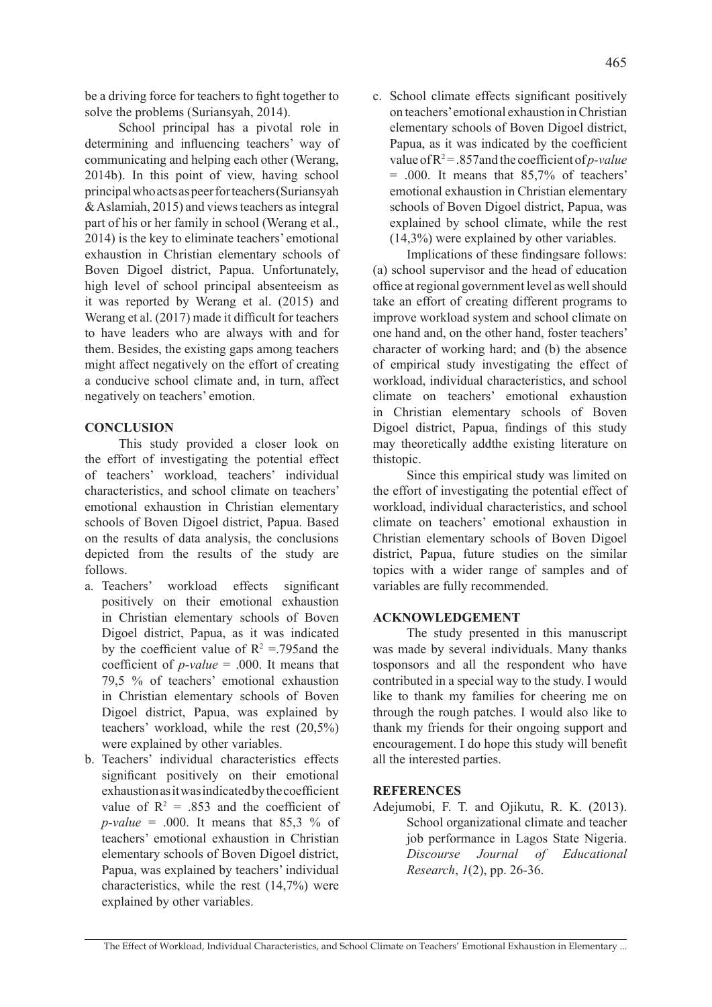School principal has a pivotal role in determining and influencing teachers' way of communicating and helping each other (Werang, 2014b). In this point of view, having school principal who acts as peer for teachers (Suriansyah & Aslamiah, 2015) and views teachers as integral part of his or her family in school (Werang et al., 2014) is the key to eliminate teachers' emotional exhaustion in Christian elementary schools of Boven Digoel district, Papua. Unfortunately, high level of school principal absenteeism as it was reported by Werang et al. (2015) and Werang et al. (2017) made it difficult for teachers to have leaders who are always with and for them. Besides, the existing gaps among teachers might affect negatively on the effort of creating a conducive school climate and, in turn, affect negatively on teachers' emotion.

# **CONCLUSION**

This study provided a closer look on the effort of investigating the potential effect of teachers' workload, teachers' individual characteristics, and school climate on teachers' emotional exhaustion in Christian elementary schools of Boven Digoel district, Papua. Based on the results of data analysis, the conclusions depicted from the results of the study are follows.

- a. Teachers' workload effects significant positively on their emotional exhaustion in Christian elementary schools of Boven Digoel district, Papua, as it was indicated by the coefficient value of  $R^2 = 795$  and the coefficient of *p-value* = .000. It means that 79,5 % of teachers' emotional exhaustion in Christian elementary schools of Boven Digoel district, Papua, was explained by teachers' workload, while the rest (20,5%) were explained by other variables.
- b. Teachers' individual characteristics effects significant positively on their emotional exhaustion as it was indicated by the coefficient value of  $R^2 = .853$  and the coefficient of *p-value* = .000. It means that 85.3 % of teachers' emotional exhaustion in Christian elementary schools of Boven Digoel district, Papua, was explained by teachers' individual characteristics, while the rest (14,7%) were explained by other variables.

c. School climate effects significant positively on teachers' emotional exhaustion in Christian elementary schools of Boven Digoel district, Papua, as it was indicated by the coefficient value of  $R^2 = 0.857$  and the coefficient of *p*-value = .000. It means that 85,7% of teachers' emotional exhaustion in Christian elementary schools of Boven Digoel district, Papua, was explained by school climate, while the rest (14,3%) were explained by other variables.

Implications of these findingsare follows: (a) school supervisor and the head of education office at regional government level as well should take an effort of creating different programs to improve workload system and school climate on one hand and, on the other hand, foster teachers' character of working hard; and (b) the absence of empirical study investigating the effect of workload, individual characteristics, and school climate on teachers' emotional exhaustion in Christian elementary schools of Boven Digoel district, Papua, findings of this study may theoretically addthe existing literature on thistopic.

Since this empirical study was limited on the effort of investigating the potential effect of workload, individual characteristics, and school climate on teachers' emotional exhaustion in Christian elementary schools of Boven Digoel district, Papua, future studies on the similar topics with a wider range of samples and of variables are fully recommended.

# **ACKNOWLEDGEMENT**

The study presented in this manuscript was made by several individuals. Many thanks tosponsors and all the respondent who have contributed in a special way to the study. I would like to thank my families for cheering me on through the rough patches. I would also like to thank my friends for their ongoing support and encouragement. I do hope this study will benefit all the interested parties.

# **REFERENCES**

Adejumobi, F. T. and Ojikutu, R. K. (2013). School organizational climate and teacher job performance in Lagos State Nigeria. *Discourse Journal of Educational Research*, *1*(2), pp. 26-36.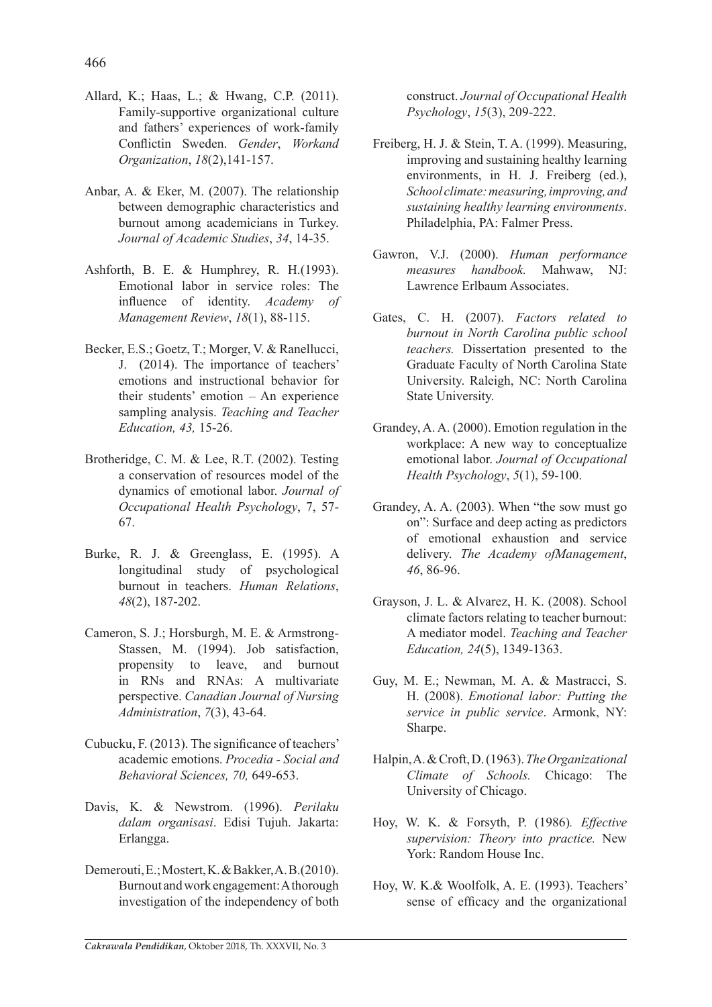- Allard, K.; Haas, L.; & Hwang, C.P. (2011). Family-supportive organizational culture and fathers' experiences of work-family Conflictin Sweden. *Gender*, *Workand Organization*, *18*(2),141-157.
- Anbar, A. & Eker, M. (2007). The relationship between demographic characteristics and burnout among academicians in Turkey. *Journal of Academic Studies*, *34*, 14-35.
- Ashforth, B. E. & Humphrey, R. H.(1993). Emotional labor in service roles: The influence of identity. *Academy of Management Review*, *18*(1), 88-115.
- Becker, E.S.; Goetz, T.; Morger, V. & Ranellucci, J. (2014). The importance of teachers' emotions and instructional behavior for their students' emotion – An experience sampling analysis. *Teaching and Teacher Education, 43,* 15-26.
- Brotheridge, C. M. & Lee, R.T. (2002). Testing a conservation of resources model of the dynamics of emotional labor. *Journal of Occupational Health Psychology*, 7, 57- 67.
- Burke, R. J. & Greenglass, E. (1995). A longitudinal study of psychological burnout in teachers. *Human Relations*, *48*(2), 187-202.
- Cameron, S. J.; Horsburgh, M. E. & Armstrong-Stassen, M. (1994). Job satisfaction, propensity to leave, and burnout in RNs and RNAs: A multivariate perspective. *Canadian Journal of Nursing Administration*, *7*(3), 43-64.
- Cubucku, F. (2013). The significance of teachers' academic emotions. *Procedia - Social and Behavioral Sciences, 70,* 649-653.
- Davis, K. & Newstrom. (1996). *Perilaku dalam organisasi*. Edisi Tujuh. Jakarta: Erlangga.
- Demerouti, E.; Mostert, K. & Bakker, A. B.(2010). Burnout and work engagement: A thorough investigation of the independency of both

construct. *Journal of Occupational Health Psychology*, *15*(3), 209-222.

- Freiberg, H. J. & Stein, T. A. (1999). Measuring, improving and sustaining healthy learning environments, in H. J. Freiberg (ed.), *School climate: measuring, improving, and sustaining healthy learning environments*. Philadelphia, PA: Falmer Press.
- Gawron, V.J. (2000). *Human performance measures handbook.* Mahwaw, NJ: Lawrence Erlbaum Associates.
- Gates, C. H. (2007). *Factors related to burnout in North Carolina public school teachers.* Dissertation presented to the Graduate Faculty of North Carolina State University. Raleigh, NC: North Carolina State University.
- Grandey, A. A. (2000). Emotion regulation in the workplace: A new way to conceptualize emotional labor. *Journal of Occupational Health Psychology*, *5*(1), 59-100.
- Grandey, A. A. (2003). When "the sow must go on": Surface and deep acting as predictors of emotional exhaustion and service delivery. *The Academy ofManagement*, *46*, 86-96.
- Grayson, J. L. & Alvarez, H. K. (2008). School climate factors relating to teacher burnout: A mediator model. *Teaching and Teacher Education, 24*(5), 1349-1363.
- Guy, M. E.; Newman, M. A. & Mastracci, S. H. (2008). *Emotional labor: Putting the service in public service*. Armonk, NY: Sharpe.
- Halpin, A. & Croft, D. (1963). *The Organizational Climate of Schools.* Chicago: The University of Chicago.
- Hoy, W. K. & Forsyth, P. (1986)*. Effective supervision: Theory into practice.* New York: Random House Inc.
- Hoy, W. K.& Woolfolk, A. E. (1993). Teachers' sense of efficacy and the organizational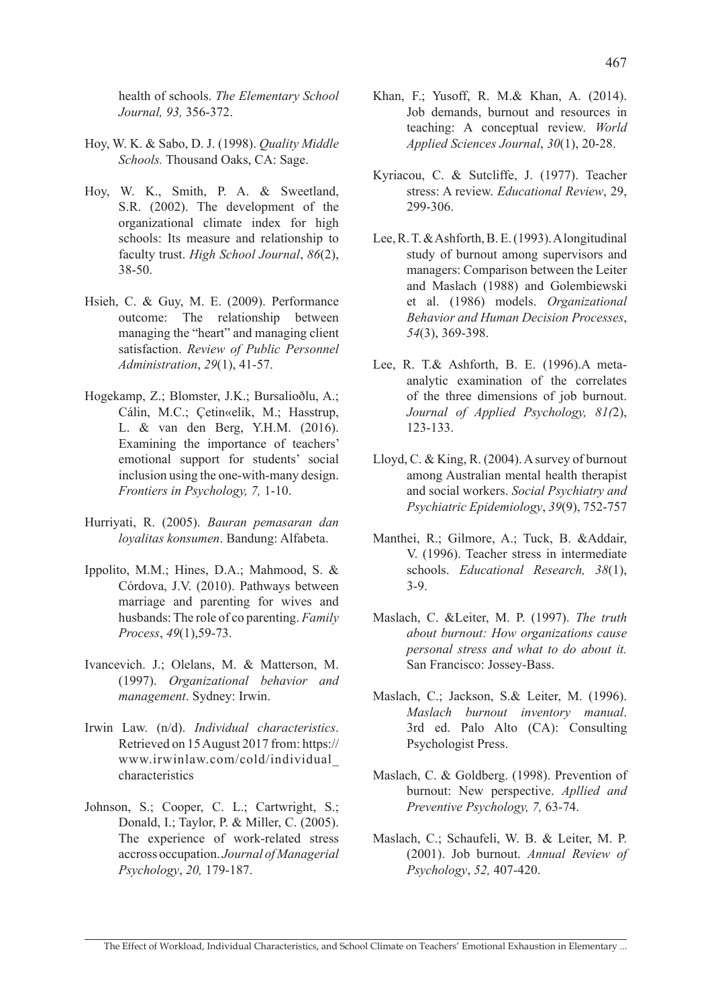health of schools. *The Elementary School Journal, 93,* 356-372.

- Hoy, W. K. & Sabo, D. J. (1998). *Quality Middle Schools.* Thousand Oaks, CA: Sage.
- Hoy, W. K., Smith, P. A. & Sweetland, S.R. (2002). The development of the organizational climate index for high schools: Its measure and relationship to faculty trust. *High School Journal*, *86*(2), 38-50.
- Hsieh, C. & Guy, M. E. (2009). Performance outcome: The relationship between managing the "heart" and managing client satisfaction. *Review of Public Personnel Administration*, *29*(1), 41-57.
- Hogekamp, Z.; Blomster, J.K.; Bursalioðlu, A.; Cálin, M.C.; Çetin«elik, M.; Hasstrup, L. & van den Berg, Y.H.M. (2016). Examining the importance of teachers' emotional support for students' social inclusion using the one-with-many design. *Frontiers in Psychology, 7,* 1-10.
- Hurriyati, R. (2005). *Bauran pemasaran dan loyalitas konsumen*. Bandung: Alfabeta.
- Ippolito, M.M.; Hines, D.A.; Mahmood, S. & Córdova, J.V. (2010). Pathways between marriage and parenting for wives and husbands: The role of co parenting. *Family Process*, *49*(1),59-73.
- Ivancevich. J.; Olelans, M. & Matterson, M. (1997). *Organizational behavior and management*. Sydney: Irwin.
- Irwin Law. (n/d). *Individual characteristics*. Retrieved on 15 August 2017 from: https:// www.irwinlaw.com/cold/individual\_ characteristics
- Johnson, S.; Cooper, C. L.; Cartwright, S.; Donald, I.; Taylor, P. & Miller, C. (2005). The experience of work-related stress accross occupation. *Journal of Managerial Psychology*, *20,* 179-187.
- Khan, F.; Yusoff, R. M.& Khan, A. (2014). Job demands, burnout and resources in teaching: A conceptual review. *World Applied Sciences Journal*, *30*(1), 20-28.
- Kyriacou, C. & Sutcliffe, J. (1977). Teacher stress: A review. *Educational Review*, 29, 299-306.
- Lee, R. T. & Ashforth, B. E. (1993). A longitudinal study of burnout among supervisors and managers: Comparison between the Leiter and Maslach (1988) and Golembiewski et al. (1986) models. *Organizational Behavior and Human Decision Processes*, *54*(3), 369-398.
- Lee, R. T.& Ashforth, B. E. (1996).A metaanalytic examination of the correlates of the three dimensions of job burnout. *Journal of Applied Psychology, 81(*2), 123-133.
- Lloyd, C. & King, R. (2004). A survey of burnout among Australian mental health therapist and social workers. *Social Psychiatry and Psychiatric Epidemiology*, *39*(9), 752-757
- Manthei, R.; Gilmore, A.; Tuck, B. &Addair, V. (1996). Teacher stress in intermediate schools. *Educational Research, 38*(1), 3-9.
- Maslach, C. &Leiter, M. P. (1997). *The truth about burnout: How organizations cause personal stress and what to do about it.*  San Francisco: Jossey-Bass.
- Maslach, C.; Jackson, S.& Leiter, M. (1996). *Maslach burnout inventory manual*. 3rd ed. Palo Alto (CA): Consulting Psychologist Press.
- Maslach, C. & Goldberg. (1998). Prevention of burnout: New perspective. *Apllied and Preventive Psychology, 7,* 63-74.
- Maslach, C.; Schaufeli, W. B. & Leiter, M. P. (2001). Job burnout. *Annual Review of Psychology*, *52,* 407-420.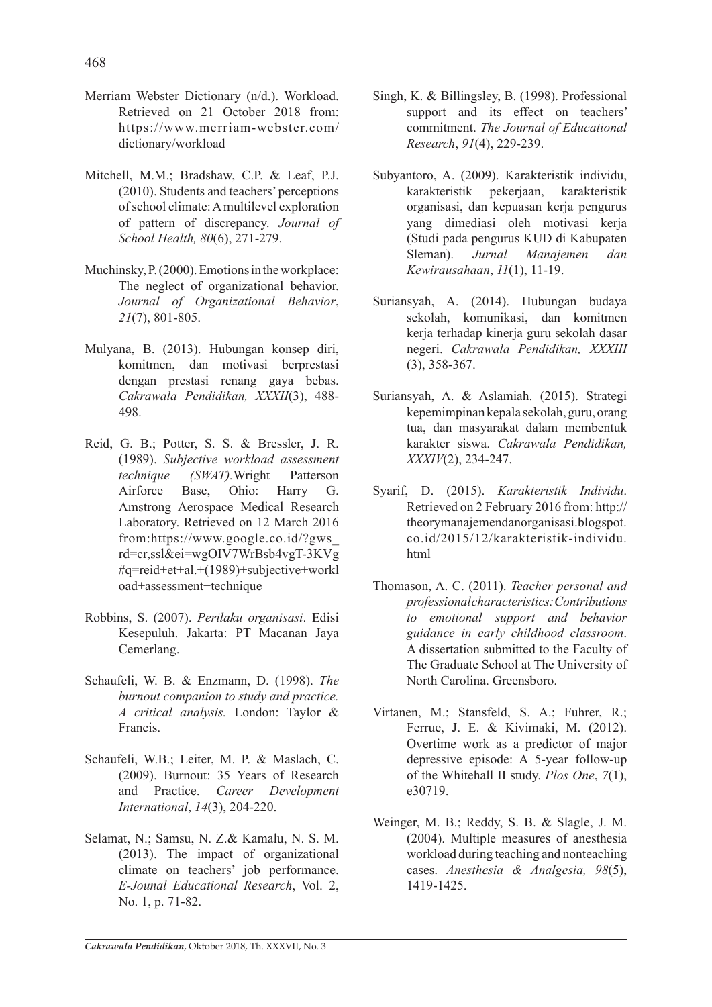- Merriam Webster Dictionary (n/d.). Workload. Retrieved on 21 October 2018 from: https://www.merriam-webster.com/ dictionary/workload
- Mitchell, M.M.; Bradshaw, C.P. & Leaf, P.J. (2010). Students and teachers' perceptions of school climate: A multilevel exploration of pattern of discrepancy. *Journal of School Health, 80*(6), 271-279.
- Muchinsky, P. (2000). Emotions in the workplace: The neglect of organizational behavior. *Journal of Organizational Behavior*, *21*(7), 801-805.
- Mulyana, B. (2013). Hubungan konsep diri, komitmen, dan motivasi berprestasi dengan prestasi renang gaya bebas. *Cakrawala Pendidikan, XXXII*(3), 488- 498.
- Reid, G. B.; Potter, S. S. & Bressler, J. R. (1989). *Subjective workload assessment technique (SWAT).*Wright Patterson Airforce Base, Ohio: Harry G. Amstrong Aerospace Medical Research Laboratory. Retrieved on 12 March 2016 from:https://www.google.co.id/?gws\_ rd=cr,ssl&ei=wgOIV7WrBsb4vgT-3KVg #q=reid+et+al.+(1989)+subjective+workl oad+assessment+technique
- Robbins, S. (2007). *Perilaku organisasi*. Edisi Kesepuluh. Jakarta: PT Macanan Jaya Cemerlang.
- Schaufeli, W. B. & Enzmann, D. (1998). *The burnout companion to study and practice. A critical analysis.* London: Taylor & Francis.
- Schaufeli, W.B.; Leiter, M. P. & Maslach, C. (2009). Burnout: 35 Years of Research and Practice. *Career Development International*, *14*(3), 204-220.
- Selamat, N.; Samsu, N. Z.& Kamalu, N. S. M. (2013). The impact of organizational climate on teachers' job performance. *E-Jounal Educational Research*, Vol. 2, No. 1, p. 71-82.
- Singh, K. & Billingsley, B. (1998). Professional support and its effect on teachers' commitment. *The Journal of Educational Research*, *91*(4), 229-239.
- Subyantoro, A. (2009). Karakteristik individu, karakteristik pekerjaan, karakteristik organisasi, dan kepuasan kerja pengurus yang dimediasi oleh motivasi kerja (Studi pada pengurus KUD di Kabupaten Sleman). *Jurnal Manajemen dan Kewirausahaan*, *11*(1), 11-19.
- Suriansyah, A. (2014). Hubungan budaya sekolah, komunikasi, dan komitmen kerja terhadap kinerja guru sekolah dasar negeri. *Cakrawala Pendidikan, XXXIII*  (3), 358-367.
- Suriansyah, A. & Aslamiah. (2015). Strategi kepemimpinan kepala sekolah, guru, orang tua, dan masyarakat dalam membentuk karakter siswa. *Cakrawala Pendidikan, XXXIV*(2), 234-247.
- Syarif, D. (2015). *Karakteristik Individu*. Retrieved on 2 February 2016 from: http:// theorymanajemendanorganisasi.blogspot. co.id/2015/12/karakteristik-individu. html
- Thomason, A. C. (2011). *Teacher personal and professional characteristics: Contributions to emotional support and behavior guidance in early childhood classroom*. A dissertation submitted to the Faculty of The Graduate School at The University of North Carolina. Greensboro.
- Virtanen, M.; Stansfeld, S. A.; Fuhrer, R.; Ferrue, J. E. & Kivimaki, M. (2012). Overtime work as a predictor of major depressive episode: A 5-year follow-up of the Whitehall II study. *Plos One*, *7*(1), e30719.
- Weinger, M. B.; Reddy, S. B. & Slagle, J. M. (2004). Multiple measures of anesthesia workload during teaching and nonteaching cases. *Anesthesia & Analgesia, 98*(5), 1419-1425.